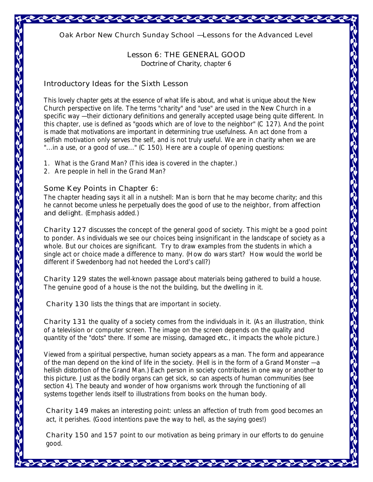*Oak Arbor New Church Sunday School — Lessons for the Advanced Level* 

**Lesson 6: THE GENERAL GOOD**

*Doctrine of Charity,* chapter 6

## **Introductory Ideas for the Sixth Lesson**

This lovely chapter gets at the essence of what life is about, and what is unique about the New Church perspective on life. The terms "charity" and "use" are used in the New Church in a specific way — their dictionary definitions and generally accepted usage being quite different. In this chapter, use is defined as "goods which are of love to the neighbor" (C 127). And the point is made that motivations are important in determining true usefulness. An act done from a selfish motivation only serves the self, and is not truly useful. We are in charity when we are "...in a use, or a good of use..." (C 150). Here are a couple of opening questions:

- 1. What is the Grand Man? (This idea is covered in the chapter.)
- 2. Are people in hell in the Grand Man?

## **Some Key Points in Chapter 6:**

The chapter heading says it all in a nutshell: Man is born that he may become charity; and this he cannot become unless he perpetually does the good of use to the neighbor, *from affection and delight.* (Emphasis added.)

*Charity* **127** discusses the concept of the general good of society. This might be a good point to ponder. As individuals we see our choices being insignificant in the landscape of society as a whole. But our choices are significant. Try to draw examples from the students in which a single act or choice made a difference to many. (How do wars start? How would the world be different if Swedenborg had not heeded the Lord's call?)

*Charity* **129** states the well-known passage about materials being gathered to build a house. The genuine good of a house is the not the building, but the dwelling in it.

 *Charity* **130** lists the things that are important in society.

*Charity* **131** the quality of a society comes from the individuals in it. (As an illustration, think of a television or computer screen. The image on the screen depends on the quality and quantity of the "dots" there. If some are missing, damaged *etc*., it impacts the whole picture.)

Viewed from a spiritual perspective, human society appears as a man. The form and appearance of the man depend on the kind of life in the society. (Hell is in the form of a Grand Monster — a hellish distortion of the Grand Man.) Each person in society contributes in one way or another to this picture. Just as the bodily organs can get sick, so can aspects of human communities (see section 4). The beauty and wonder of how organisms work through the functioning of all systems together lends itself to illustrations from books on the human body.

*Charity* **149** makes an interesting point: unless an affection of truth from good becomes an act, it perishes. (Good intentions pave the way to hell, as the saying goes!)

*Charity* **150** and **157** point to our motivation as being primary in our efforts to do genuine good.